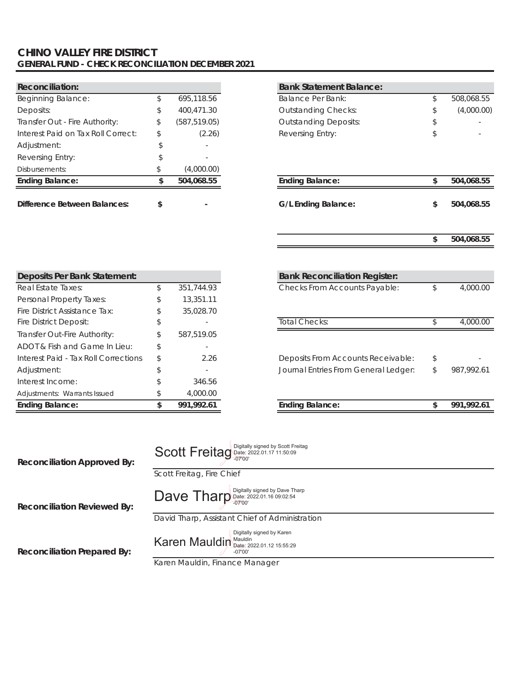### **CHINO VALLEY FIRE DISTRICT GENERAL FUND - CHECK RECONCILIATION DECEMBER 2021**

| <b>Reconciliation:</b>              |    |               | <b>Bank Statement Balance:</b> |          |
|-------------------------------------|----|---------------|--------------------------------|----------|
| Beginning Balance:                  |    | 695,118.56    | <b>Balance Per Bank:</b>       | 508,068. |
| Deposits:                           | \$ | 400.471.30    | <b>Outstanding Checks:</b>     | (4,000.  |
| Transfer Out - Fire Authority:      | S  | (587, 519.05) | <b>Outstanding Deposits:</b>   |          |
| Interest Paid on Tax Roll Correct:  |    | (2.26)        | Reversing Entry:               |          |
| Adjustment:                         |    |               |                                |          |
| Reversing Entry:                    |    |               |                                |          |
| Disbursements:                      |    | (4,000.00)    |                                |          |
| <b>Ending Balance:</b>              |    | 504.068.55    | <b>Ending Balance:</b>         | 504.068. |
| <b>Difference Between Balances:</b> |    |               | G/L Ending Balance:            | 504.068. |

Interest Income:  $$346.56$ Adjustments: Warrants Issued  $$ 4,000.00$ 

| <b>Reconciliation:</b>               |                     | <b>Bank Statement Balance:</b>       |  |
|--------------------------------------|---------------------|--------------------------------------|--|
| <b>Beginning Balance:</b>            | \$<br>695,118.56    | Balance Per Bank:                    |  |
| Deposits:                            | \$<br>400,471.30    | <b>Outstanding Checks:</b>           |  |
| Transfer Out - Fire Authority:       | \$<br>(587, 519.05) | <b>Outstanding Deposits:</b>         |  |
| Interest Paid on Tax Roll Correct:   | \$<br>(2.26)        | <b>Reversing Entry:</b>              |  |
| Adjustment:                          | \$                  |                                      |  |
| Reversing Entry:                     | \$                  |                                      |  |
| Disbursements:                       | \$<br>(4,000.00)    |                                      |  |
| <b>Ending Balance:</b>               | \$<br>504,068.55    | <b>Ending Balance:</b>               |  |
| <b>Difference Between Balances:</b>  | \$                  | <b>G/L Ending Balance:</b>           |  |
|                                      |                     |                                      |  |
|                                      |                     |                                      |  |
|                                      |                     |                                      |  |
| <b>Deposits Per Bank Statement:</b>  |                     | <b>Bank Reconciliation Register:</b> |  |
| Real Estate Taxes:                   | \$<br>351,744.93    | Checks From Accounts Payable:        |  |
| Personal Property Taxes:             | \$<br>13,351.11     |                                      |  |
| Fire District Assistance Tax:        | \$<br>35,028.70     |                                      |  |
| Fire District Deposit:               | \$                  | <b>Total Checks:</b>                 |  |
| Transfer Out-Fire Authority:         | \$<br>587,519.05    |                                      |  |
| ADOT & Fish and Game In Lieu:        | \$                  |                                      |  |
| Interest Paid - Tax Roll Corrections | \$<br>2.26          | Deposits From Accounts Receivable:   |  |
| Adjustment:                          | \$                  | Journal Entries From General Ledger: |  |
| Interest Income:                     | \$<br>346.56        |                                      |  |
|                                      |                     |                                      |  |

**Ending Balance: 991,992.61 \$ Ending Balance: 991,992.61 \$**

| <b>Reconciliation Approved By:</b> | Scott Freitag Date: 2022.01.17 11:50:09<br>Scott Freitag, Fire Chief                                                        |
|------------------------------------|-----------------------------------------------------------------------------------------------------------------------------|
| <b>Reconciliation Reviewed By:</b> | Dave Tharp Digitally signed by Dave Tharp<br>David Tharp, Assistant Chief of Administration                                 |
| <b>Reconciliation Prepared By:</b> | Digitally signed by Karen<br>Karen Mauldin Mauldin Date: 2022.01.12 15:55:29<br>$-07'00'$<br>Karen Mauldin, Finance Manager |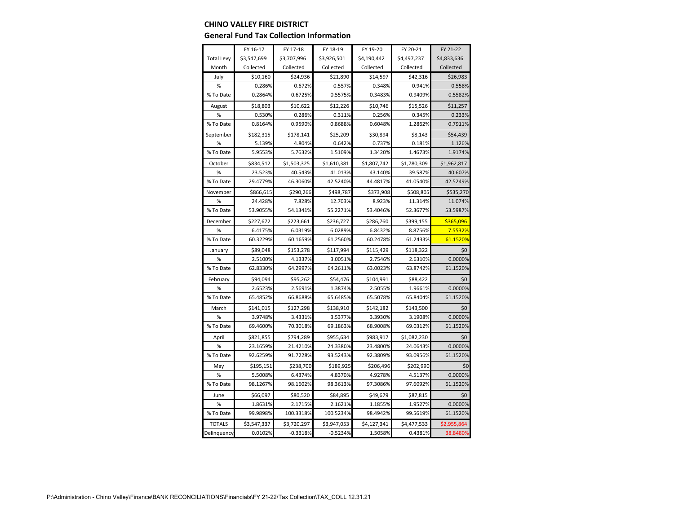#### **CHINO VALLEY FIRE DISTRICT**

#### **General Fund Tax Collection Information**

|                   | FY 16-17    | FY 17-18    | FY 18-19    | FY 19-20    | FY 20-21    | FY 21-22    |
|-------------------|-------------|-------------|-------------|-------------|-------------|-------------|
| <b>Total Levy</b> | \$3,547,699 | \$3,707,996 | \$3,926,501 | \$4,190,442 | \$4,497,237 | \$4,833,636 |
| Month             | Collected   | Collected   | Collected   | Collected   | Collected   | Collected   |
| July              | \$10,160    | \$24,936    | \$21,890    | \$14,597    | \$42,316    | \$26,983    |
| $\%$              | 0.286%      | 0.672%      | 0.557%      | 0.348%      | 0.941%      | 0.558%      |
| % To Date         | 0.2864%     | 0.6725%     | 0.5575%     | 0.3483%     | 0.9409%     | 0.5582%     |
| August            | \$18,803    | \$10,622    | \$12,226    | \$10,746    | \$15,526    | \$11,257    |
| %                 | 0.530%      | 0.286%      | 0.311%      | 0.256%      | 0.345%      | 0.233%      |
| % To Date         | 0.8164%     | 0.9590%     | 0.8688%     | 0.6048%     | 1.2862%     | 0.7911%     |
| September         | \$182,315   | \$178,141   | \$25,209    | \$30,894    | \$8,143     | \$54,439    |
| %                 | 5.139%      | 4.804%      | 0.642%      | 0.737%      | 0.181%      | 1.126%      |
| % To Date         | 5.9553%     | 5.7632%     | 1.5109%     | 1.3420%     | 1.4673%     | 1.9174%     |
| October           | \$834,512   | \$1,503,325 | \$1,610,381 | \$1,807,742 | \$1,780,309 | \$1,962,817 |
| $\%$              | 23.523%     | 40.543%     | 41.013%     | 43.140%     | 39.587%     | 40.607%     |
| % To Date         | 29.4779%    | 46.3060%    | 42.5240%    | 44.4817%    | 41.0540%    | 42.5249%    |
| November          | \$866,615   | \$290,266   | \$498,787   | \$373,908   | \$508,805   | \$535,270   |
| %                 | 24.428%     | 7.828%      | 12.703%     | 8.923%      | 11.314%     | 11.074%     |
| % To Date         | 53.9055%    | 54.1341%    | 55.2271%    | 53.4046%    | 52.3677%    | 53.5987%    |
| December          | \$227,672   | \$223,661   | \$236,727   | \$286,760   | \$399,155   | \$365,096   |
| $\%$              | 6.4175%     | 6.0319%     | 6.0289%     | 6.8432%     | 8.8756%     | 7.5532%     |
| % To Date         | 60.3229%    | 60.1659%    | 61.2560%    | 60.2478%    | 61.2433%    | 61.1520%    |
| January           | \$89,048    | \$153,278   | \$117,994   | \$115,429   | \$118,322   | \$0         |
| $\%$              | 2.5100%     | 4.1337%     | 3.0051%     | 2.7546%     | 2.6310%     | 0.0000%     |
| % To Date         | 62.8330%    | 64.2997%    | 64.2611%    | 63.0023%    | 63.8742%    | 61.1520%    |
| February          | \$94,094    | \$95,262    | \$54,476    | \$104,991   | \$88,422    | \$0         |
| %                 | 2.6523%     | 2.5691%     | 1.3874%     | 2.5055%     | 1.9661%     | 0.0000%     |
| % To Date         | 65.4852%    | 66.8688%    | 65.6485%    | 65.5078%    | 65.8404%    | 61.1520%    |
| March             | \$141,015   | \$127,298   | \$138,910   | \$142,182   | \$143,500   | \$0         |
| %                 | 3.9748%     | 3.4331%     | 3.5377%     | 3.3930%     | 3.1908%     | 0.0000%     |
| % To Date         | 69.4600%    | 70.3018%    | 69.1863%    | 68.9008%    | 69.0312%    | 61.1520%    |
| April             | \$821,855   | \$794,289   | \$955,634   | \$983,917   | \$1,082,230 | \$0         |
| $\%$              | 23.1659%    | 21.4210%    | 24.3380%    | 23.4800%    | 24.0643%    | 0.0000%     |
| % To Date         | 92.6259%    | 91.7228%    | 93.5243%    | 92.3809%    | 93.0956%    | 61.1520%    |
| May               | \$195,151   | \$238,700   | \$189,925   | \$206,496   | \$202,990   | \$0         |
| $\%$              | 5.5008%     | 6.4374%     | 4.8370%     | 4.9278%     | 4.5137%     | 0.0000%     |
| % To Date         | 98.1267%    | 98.1602%    | 98.3613%    | 97.3086%    | 97.6092%    | 61.1520%    |
| June              | \$66,097    | \$80,520    | \$84,895    | \$49,679    | \$87,815    | \$0         |
| %                 | 1.8631%     | 2.1715%     | 2.1621%     | 1.1855%     | 1.9527%     | 0.0000%     |
| % To Date         | 99.9898%    | 100.3318%   | 100.5234%   | 98.4942%    | 99.5619%    | 61.1520%    |
| <b>TOTALS</b>     | \$3,547,337 | \$3,720,297 | \$3,947,053 | \$4,127,341 | \$4,477,533 | \$2,955,864 |
| Delinquency       | 0.0102%     | $-0.3318%$  | $-0.5234%$  | 1.5058%     | 0.4381%     | 38.8480%    |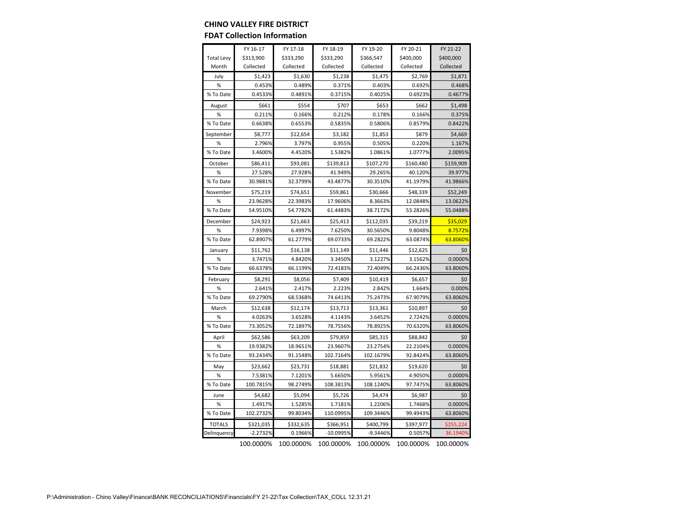#### **CHINO VALLEY FIRE DISTRICT**

#### **FDAT Collection Information**

|                   | FY 16-17   | FY 17-18  | FY 18-19  | FY 19-20   | FY 20-21  | FY 21-22  |
|-------------------|------------|-----------|-----------|------------|-----------|-----------|
| <b>Total Levy</b> | \$313,900  | \$333,290 | \$333,290 | \$366,547  | \$400,000 | \$400,000 |
| Month             | Collected  | Collected | Collected | Collected  | Collected | Collected |
| July              | \$1,423    | \$1,630   | \$1,238   | \$1,475    | \$2,769   | \$1,871   |
| %                 | 0.453%     | 0.489%    | 0.371%    | 0.403%     | 0.692%    | 0.468%    |
| % To Date         | 0.4533%    | 0.4891%   | 0.3715%   | 0.4025%    | 0.6923%   | 0.4677%   |
| August            | \$661      | \$554     | \$707     | \$653      | \$662     | \$1,498   |
| %                 | 0.211%     | 0.166%    | 0.212%    | 0.178%     | 0.166%    | 0.375%    |
| % To Date         | 0.6638%    | 0.6553%   | 0.5835%   | 0.5806%    | 0.8579%   | 0.8422%   |
| September         | \$8,777    | \$12,654  | \$3,182   | \$1,853    | \$879     | \$4,669   |
| %                 | 2.796%     | 3.797%    | 0.955%    | 0.505%     | 0.220%    | 1.167%    |
| % To Date         | 3.4600%    | 4.4520%   | 1.5382%   | 1.0861%    | 1.0777%   | 2.0095%   |
| October           | \$86,411   | \$93,081  | \$139,813 | \$107,270  | \$160,480 | \$159,909 |
| %                 | 27.528%    | 27.928%   | 41.949%   | 29.265%    | 40.120%   | 39.977%   |
| % To Date         | 30.9881%   | 32.3799%  | 43.4877%  | 30.3510%   | 41.1979%  | 41.9866%  |
| November          | \$75,219   | \$74,651  | \$59,861  | \$30,666   | \$48,339  | \$52,249  |
| %                 | 23.9628%   | 22.3983%  | 17.9606%  | 8.3663%    | 12.0848%  | 13.0622%  |
| % To Date         | 54.9510%   | 54.7782%  | 61.4483%  | 38.7172%   | 53.2826%  | 55.0488%  |
| December          | \$24,923   | \$21,663  | \$25,413  | \$112,035  | \$39,219  | \$35,029  |
| %                 | 7.9398%    | 6.4997%   | 7.6250%   | 30.5650%   | 9.8048%   | 8.7572%   |
| % To Date         | 62.8907%   | 61.2779%  | 69.0733%  | 69.2822%   | 63.0874%  | 63.8060%  |
| January           | \$11,762   | \$16,138  | \$11,149  | \$11,446   | \$12,625  | \$0       |
| %                 | 3.7471%    | 4.8420%   | 3.3450%   | 3.1227%    | 3.1562%   | 0.0000%   |
| % To Date         | 66.6378%   | 66.1199%  | 72.4183%  | 72.4049%   | 66.2436%  | 63.8060%  |
| February          | \$8,291    | \$8,056   | \$7,409   | \$10,419   | \$6,657   | \$0       |
| %                 | 2.641%     | 2.417%    | 2.223%    | 2.842%     | 1.664%    | 0.000%    |
| % To Date         | 69.2790%   | 68.5368%  | 74.6413%  | 75.2473%   | 67.9079%  | 63.8060%  |
| March             | \$12,638   | \$12,174  | \$13,713  | \$13,361   | \$10,897  | \$0       |
| %                 | 4.0263%    | 3.6528%   | 4.1143%   | 3.6452%    | 2.7242%   | 0.0000%   |
| % To Date         | 73.3052%   | 72.1897%  | 78.7556%  | 78.8925%   | 70.6320%  | 63.8060%  |
| April             | \$62,586   | \$63,209  | \$79,859  | \$85,315   | \$88,842  | \$0       |
| %                 | 19.9382%   | 18.9651%  | 23.9607%  | 23.2754%   | 22.2104%  | 0.0000%   |
| % To Date         | 93.2434%   | 91.1548%  | 102.7164% | 102.1679%  | 92.8424%  | 63.8060%  |
| May               | \$23,662   | \$23,731  | \$18,881  | \$21,832   | \$19,620  | \$0       |
| %                 | 7.5381%    | 7.1201%   | 5.6650%   | 5.9561%    | 4.9050%   | 0.0000%   |
| % To Date         | 100.7815%  | 98.2749%  | 108.3813% | 108.1240%  | 97.7475%  | 63.8060%  |
| June              | \$4,682    | \$5,094   | \$5,726   | \$4,474    | \$6,987   | \$0       |
| $\%$              | 1.4917%    | 1.5285%   | 1.7181%   | 1.2206%    | 1.7468%   | 0.0000%   |
| % To Date         | 102.2732%  | 99.8034%  | 110.0995% | 109.3446%  | 99.4943%  | 63.8060%  |
| <b>TOTALS</b>     | \$321,035  | \$332,635 | \$366,951 | \$400,799  | \$397,977 | \$255,224 |
| Delinquency       | $-2.2732%$ | 0.1966%   | -10.0995% | $-9.3446%$ | 0.5057%   | 36.1940%  |

100.0000% 100.0000% 100.0000% 100.0000% 100.0000% 100.0000%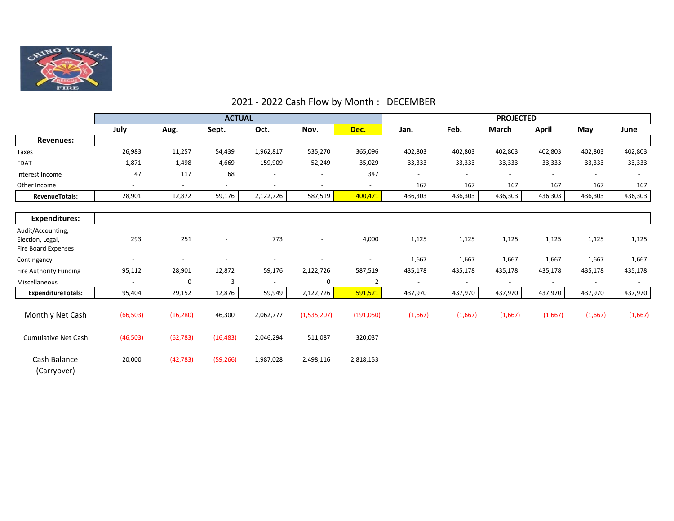

# 2021 - 2022 Cash Flow by Month : DECEMBER

|                                                                     | <b>ACTUAL</b>            |                          |                          |                          | <b>PROJECTED</b>         |                          |                          |                          |                              |                |                          |                          |
|---------------------------------------------------------------------|--------------------------|--------------------------|--------------------------|--------------------------|--------------------------|--------------------------|--------------------------|--------------------------|------------------------------|----------------|--------------------------|--------------------------|
|                                                                     | July                     | Aug.                     | Sept.                    | Oct.                     | Nov.                     | Dec.                     | Jan.                     | Feb.                     | March                        | <b>April</b>   | May                      | June                     |
| <b>Revenues:</b>                                                    |                          |                          |                          |                          |                          |                          |                          |                          |                              |                |                          |                          |
| Taxes                                                               | 26,983                   | 11,257                   | 54,439                   | 1,962,817                | 535,270                  | 365,096                  | 402,803                  | 402,803                  | 402,803                      | 402,803        | 402,803                  | 402,803                  |
| <b>FDAT</b>                                                         | 1,871                    | 1,498                    | 4,669                    | 159,909                  | 52,249                   | 35,029                   | 33,333                   | 33,333                   | 33,333                       | 33,333         | 33,333                   | 33,333                   |
| Interest Income                                                     | 47                       | 117                      | 68                       | $\overline{\phantom{a}}$ |                          | 347                      | $\overline{\phantom{a}}$ | $\overline{\phantom{a}}$ | $\qquad \qquad \blacksquare$ |                | $\overline{\phantom{a}}$ | $\overline{\phantom{a}}$ |
| Other Income                                                        | $\overline{\phantom{a}}$ | $\overline{\phantom{a}}$ | $\overline{a}$           | $\overline{\phantom{a}}$ | $\overline{\phantom{a}}$ | $\overline{\phantom{a}}$ | 167                      | 167                      | 167                          | 167            | 167                      | 167                      |
| <b>RevenueTotals:</b>                                               | 28,901                   | 12,872                   | 59,176                   | 2,122,726                | 587,519                  | 400,471                  | 436,303                  | 436,303                  | 436,303                      | 436,303        | 436,303                  | 436,303                  |
| <b>Expenditures:</b>                                                |                          |                          |                          |                          |                          |                          |                          |                          |                              |                |                          |                          |
| Audit/Accounting,<br>Election, Legal,<br><b>Fire Board Expenses</b> | 293                      | 251                      | $\overline{\phantom{a}}$ | 773                      | $\overline{\phantom{a}}$ | 4,000                    | 1,125                    | 1,125                    | 1,125                        | 1,125          | 1,125                    | 1,125                    |
| Contingency                                                         | $\overline{\phantom{a}}$ |                          |                          |                          |                          |                          | 1,667                    | 1,667                    | 1,667                        | 1,667          | 1,667                    | 1,667                    |
| Fire Authority Funding                                              | 95,112                   | 28,901                   | 12,872                   | 59,176                   | 2,122,726                | 587,519                  | 435,178                  | 435,178                  | 435,178                      | 435,178        | 435,178                  | 435,178                  |
| Miscellaneous                                                       | $\overline{\phantom{a}}$ | 0                        | 3                        | $\overline{\phantom{a}}$ | 0                        | $\overline{2}$           | $\blacksquare$           | $\overline{\phantom{a}}$ | $\overline{\phantom{a}}$     | $\blacksquare$ | $\overline{\phantom{a}}$ | $\overline{\phantom{a}}$ |
| <b>ExpenditureTotals:</b>                                           | 95,404                   | 29,152                   | 12,876                   | 59,949                   | 2,122,726                | 591,521                  | 437,970                  | 437,970                  | 437,970                      | 437,970        | 437,970                  | 437,970                  |
| Monthly Net Cash                                                    | (66, 503)                | (16, 280)                | 46,300                   | 2,062,777                | (1,535,207)              | (191,050)                | (1,667)                  | (1,667)                  | (1,667)                      | (1,667)        | (1,667)                  | (1,667)                  |
| <b>Cumulative Net Cash</b>                                          | (46, 503)                | (62, 783)                | (16, 483)                | 2,046,294                | 511,087                  | 320,037                  |                          |                          |                              |                |                          |                          |
| Cash Balance<br>(Carryover)                                         | 20,000                   | (42, 783)                | (59, 266)                | 1,987,028                | 2,498,116                | 2,818,153                |                          |                          |                              |                |                          |                          |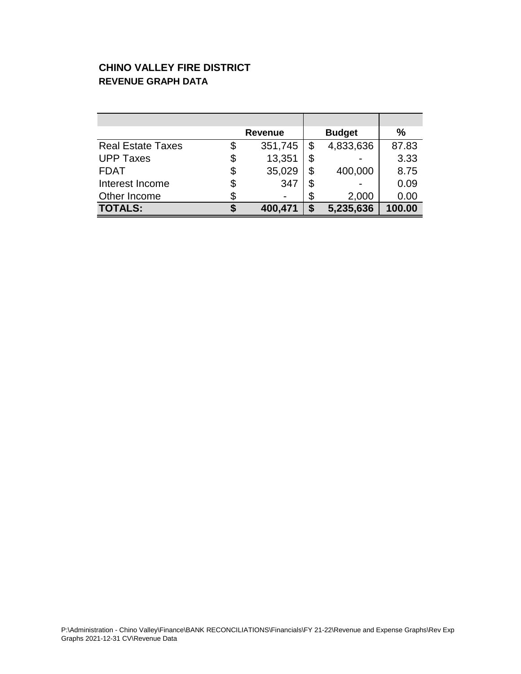# **CHINO VALLEY FIRE DISTRICT REVENUE GRAPH DATA**

|                          | <b>Revenue</b> |    | <b>Budget</b> | %      |
|--------------------------|----------------|----|---------------|--------|
| <b>Real Estate Taxes</b> | \$<br>351,745  | \$ | 4,833,636     | 87.83  |
| <b>UPP Taxes</b>         | \$<br>13,351   | \$ |               | 3.33   |
| <b>FDAT</b>              | \$<br>35,029   | \$ | 400,000       | 8.75   |
| Interest Income          | \$<br>347      |    |               | 0.09   |
| Other Income             |                | \$ | 2,000         | 0.00   |
| <b>TOTALS:</b>           | 400,471        | S  | 5,235,636     | 100.00 |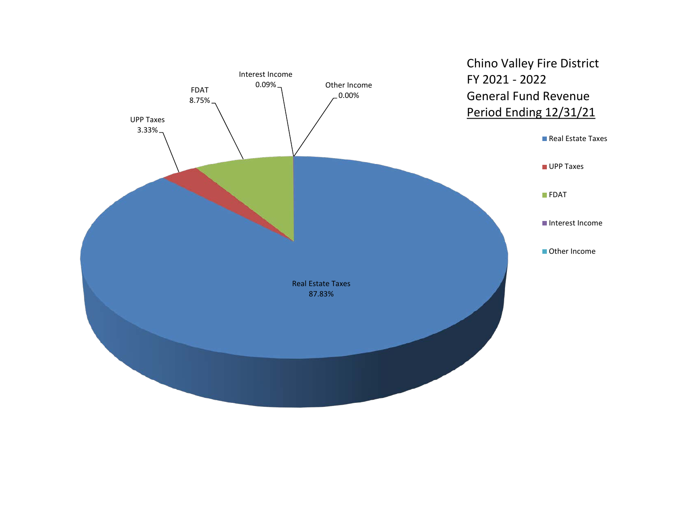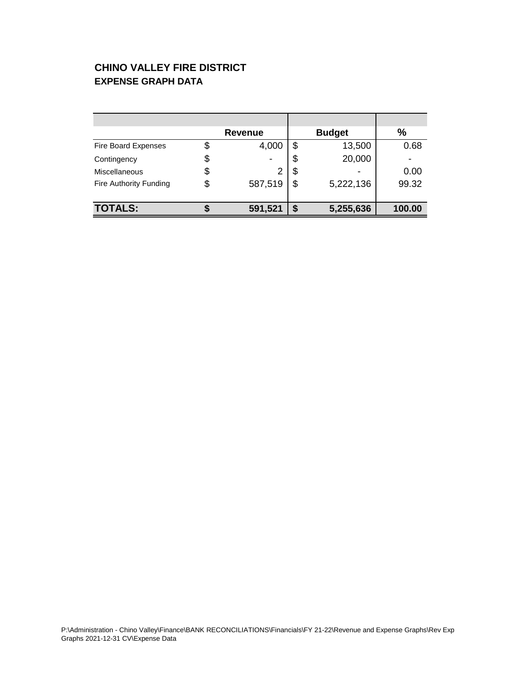# **CHINO VALLEY FIRE DISTRICT EXPENSE GRAPH DATA**

|                               | <b>Revenue</b> |   | <b>Budget</b> | $\%$   |
|-------------------------------|----------------|---|---------------|--------|
| <b>Fire Board Expenses</b>    | 4,000          |   | 13,500        | 0.68   |
| Contingency                   |                | S | 20,000        |        |
| Miscellaneous                 |                | S |               | 0.00   |
| <b>Fire Authority Funding</b> | 587,519        | S | 5,222,136     | 99.32  |
|                               |                |   |               |        |
| <b>TOTALS:</b>                | 591,521        |   | 5,255,636     | 100.00 |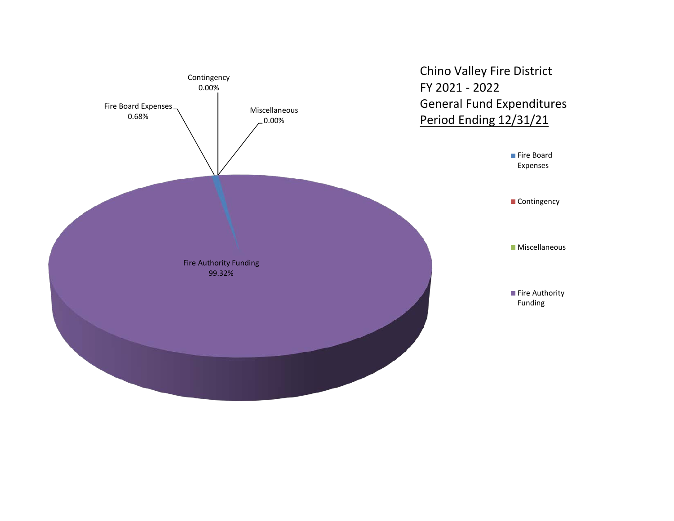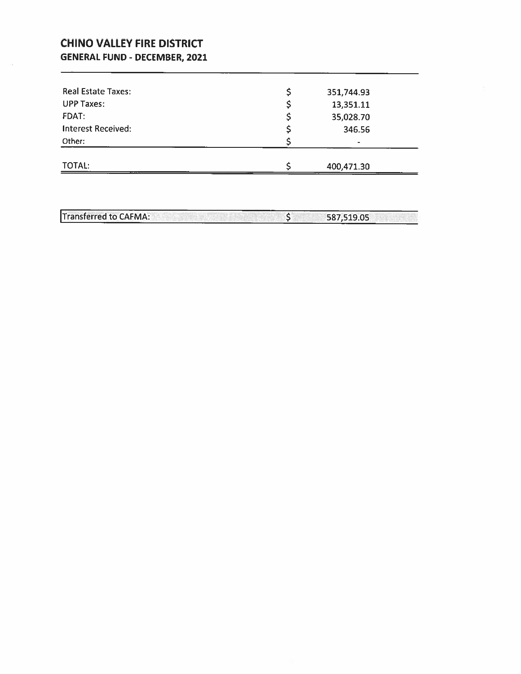# **CHINO VALLEY FIRE DISTRICT GENERAL FUND - DECEMBER, 2021**

| <b>TOTAL:</b>             | 400,471.30       |  |
|---------------------------|------------------|--|
| Other:                    | $\blacksquare$   |  |
| <b>Interest Received:</b> | 346.56           |  |
| <b>FDAT:</b>              | 35,028.70        |  |
| <b>UPP Taxes:</b>         | 13,351.11        |  |
| Real Estate Taxes:        | \$<br>351,744.93 |  |

Transferred to CAFMA:  $\frac{1}{2}$ 587,519.05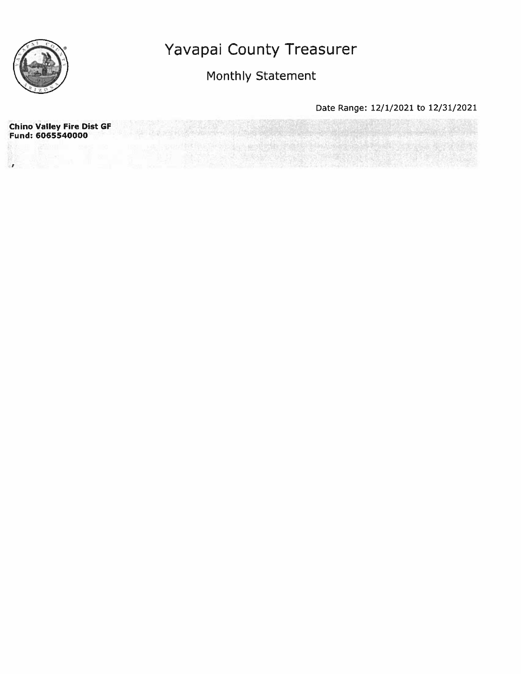

Monthly Statement

| <b>Chino Valley Fire Dist GF</b><br>Fund: 6065540000 |  |
|------------------------------------------------------|--|
|                                                      |  |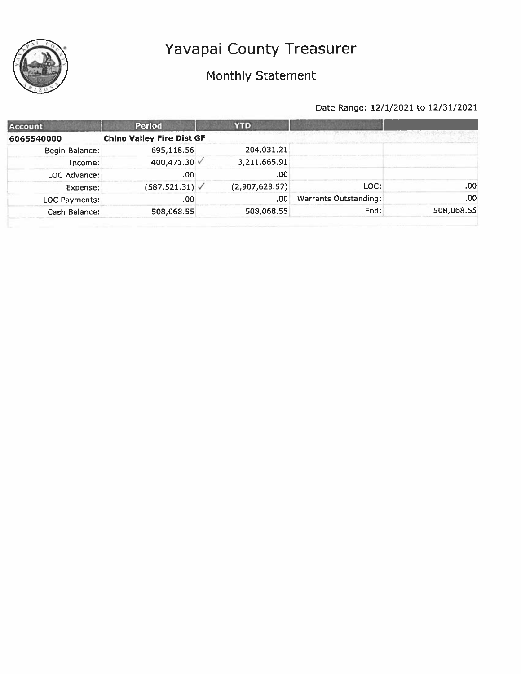

# Monthly Statement



| <b>Period</b> | <b>YTD</b>                                                                       |                       |            |
|---------------|----------------------------------------------------------------------------------|-----------------------|------------|
|               |                                                                                  |                       |            |
| 695,118.56    | 204,031.21                                                                       |                       |            |
|               | 3,211,665.91                                                                     |                       |            |
| .00           | .00                                                                              |                       |            |
|               | (2,907,628.57)                                                                   | LOC:                  | .00.       |
| .00           | .00                                                                              | Warrants Outstanding: | .00        |
| 508,068.55    | 508,068.55                                                                       | End:                  | 508,068.55 |
|               | <b>Chino Valley Fire Dist GF</b><br>400,471.30 √<br>$(587, 521.31)$ $\checkmark$ |                       |            |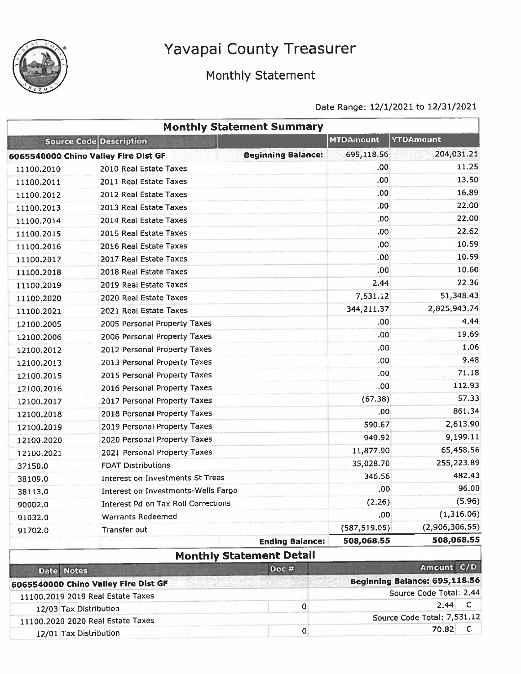

# Monthly Statement

|                             | <b>Monthly Statement Summary</b>     |                           |                  |                               |
|-----------------------------|--------------------------------------|---------------------------|------------------|-------------------------------|
|                             | Source Code Description              |                           | <b>MTDAmount</b> | <b>YTDAmount</b>              |
|                             | 6065540000 Chino Valley Fire Dist GF | <b>Beginning Balance:</b> | 695,118.56       | 204,031.21                    |
| 11100.2010                  | 2010 Real Estate Taxes               |                           | .00.             | 11.25                         |
| 11100.2011                  | 2011 Real Estate Taxes               |                           | .00              | 13.50                         |
| 11100.2012                  | 2012 Real Estate Taxes               |                           | .00.             | 16.89                         |
| 11100.2013                  | 2013 Real Estate Taxes               |                           | .00              | 22.00                         |
| 11100.2014                  | 2014 Real Estate Taxes               |                           | .00              | 22.00                         |
| 11100.2015                  | 2015 Real Estate Taxes               |                           | .00              | 22.62                         |
| 11100.2016                  | 2016 Real Estate Taxes               |                           | .00              | 10.59                         |
| 11100.2017                  | 2017 Real Estate Taxes               |                           | .00              | 10.59                         |
| 11100.2018                  | 2018 Real Estate Taxes               |                           | .00 <sub>1</sub> | 10.60                         |
| 11100,2019                  | 2019 Real Estate Taxes               |                           | 2.44             | 22.36                         |
| 11100.2020                  | 2020 Real Estate Taxes               |                           | 7,531.12         | 51,348.43                     |
| 11100.2021                  | 2021 Real Estate Taxes               |                           | 344,211.37       | 2,825,943.74                  |
| 12100.2005                  | 2005 Personal Property Taxes         |                           | .00              | 4.44                          |
| 12100,2006                  | 2006 Personal Property Taxes         |                           | .00.             | 19.69                         |
| 12100.2012                  | 2012 Personal Property Taxes         |                           | .00              | 1.06                          |
| 12100.2013                  | 2013 Personal Property Taxes         |                           | .00 <sub>1</sub> | 9.48                          |
| 12100.2015                  | 2015 Personal Property Taxes         |                           | .00.             | 71.18                         |
| 12100.2016                  | 2016 Personal Property Taxes         |                           | .00              | 112.93                        |
| 12100.2017                  | 2017 Personal Property Taxes         |                           | (67.38)          | 57,33                         |
| 12100.2018                  | 2018 Personal Property Taxes         |                           | .00              | 861.34                        |
| 12100.2019                  | 2019 Personal Property Taxes         |                           | 590.67           | 2,613.90                      |
| 12100.2020                  | 2020 Personal Property Taxes         |                           | 949.92           | 9,199.11                      |
| 12100.2021                  | 2021 Personal Property Taxes         |                           | 11,877.90        | 65,458.56                     |
| 37150.0                     | <b>FDAT Distributions</b>            |                           | 35,028.70        | 255,223.89                    |
| 38109.0                     | Interest on Investments St Treas     |                           | 346.56           | 482.43                        |
| 38113.0                     | Interest on Investments-Wells Fargo  |                           | .00              | 96.00                         |
| 90002.0                     | Interest Pd on Tax Roll Corrections  |                           | (2.26)           | (5.96)                        |
| 91032.0                     | <b>Warrants Redeemed</b>             |                           | .00              | (1,316.06)                    |
| 91702.0                     | Transfer out                         |                           | (587, 519.05)    | (2,906,306.55)                |
|                             |                                      | <b>Ending Balance:</b>    | 508,068.55       | 508,068.55                    |
|                             | <b>Monthly Statement Detail</b>      |                           |                  |                               |
| <b>Notes</b><br><b>Date</b> | Doc #                                |                           |                  | Amount C/D                    |
|                             | 6065540000 Chino Valley Fire Dist GF |                           |                  | Beginning Balance: 695,118.56 |
|                             | 010 Baal Calola Toyon                |                           |                  | Source Code Total: 2.44       |

| 11100,2019 2019 Real Estate Taxes | <b>BULLE CUBE TULGE 4.77</b> |  |  |  |
|-----------------------------------|------------------------------|--|--|--|
| 12/03 Tax Distribution            | $2.44 \quad C$               |  |  |  |
| 11100.2020 2020 Real Estate Taxes | Source Code Total: 7,531.12  |  |  |  |
| 12/01 Tax Distribution            | 70.82                        |  |  |  |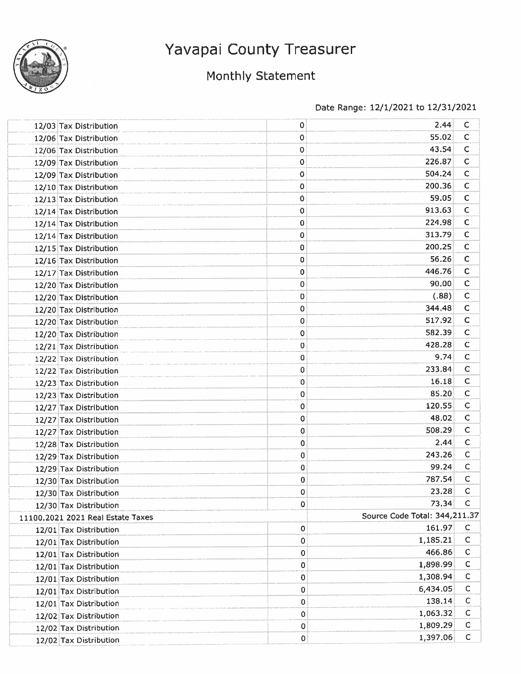

# Monthly Statement

| 12/03 Tax Distribution            | 0           | 2.44                          | C            |
|-----------------------------------|-------------|-------------------------------|--------------|
| 12/06 Tax Distribution            | 0           | 55.02                         | с            |
| 12/06 Tax Distribution            | 0           | 43.54                         | $\mathsf C$  |
| 12/09 Tax Distribution            | 0           | 226.87                        | $\mathsf{C}$ |
| 12/09 Tax Distribution            | 0           | 504.24                        | $\mathsf C$  |
| 12/10 Tax Distribution            | 0           | 200.36                        | $\mathsf C$  |
| 12/13 Tax Distribution            | 0           | 59.05                         | $\mathsf C$  |
| 12/14 Tax Distribution            | $\mathbf 0$ | 913.63                        | C            |
| 12/14 Tax Distribution            | 0           | 224.98                        | C            |
| 12/14 Tax Distribution            | 0           | 313.79                        | C            |
| 12/15 Tax Distribution            | 0           | 200,25                        | C            |
| 12/16 Tax Distribution            | 0           | 56.26                         | $\mathsf{C}$ |
| 12/17 Tax Distribution            | 0           | 446.76                        | C            |
| 12/20 Tax Distribution            | 0           | 90.00                         | $\mathsf C$  |
| 12/20 Tax Distribution            | 0           | (.88)                         | $\mathsf{C}$ |
| 12/20 Tax Distribution            | 0           | 344.48                        | $\mathsf C$  |
| 12/20 Tax Distribution            | 0           | 517.92                        | C            |
| 12/20 Tax Distribution            | 0           | 582.39                        | $\mathsf{C}$ |
| 12/21 Tax Distribution            | 0           | 428.28                        | C            |
| 12/22 Tax Distribution            | 0           | 9.74                          | $\mathsf{C}$ |
| 12/22 Tax Distribution            | 0           | 233.84                        | C            |
| 12/23 Tax Distribution            | 0           | 16.18                         | С            |
| 12/23 Tax Distribution            | 0           | 85.20                         | C            |
| 12/27 Tax Distribution            | 0           | 120.55                        | $\mathsf{C}$ |
| 12/27 Tax Distribution            | 0           | 48.02                         | C            |
| 12/27 Tax Distribution            | 0           | 508.29                        | с            |
| 12/28 Tax Distribution            | 0           | 2.44                          | C            |
| 12/29 Tax Distribution            | 0           | 243.26                        | $\mathsf{C}$ |
| 12/29 Tax Distribution            | 0           | 99.24                         | C            |
| 12/30 Tax Distribution            | 0           | 787.54                        | C            |
| 12/30 Tax Distribution            | 0           | 23.28                         | с            |
| 12/30 Tax Distribution            | 0           | 73.34                         | C            |
| 11100.2021 2021 Real Estate Taxes |             | Source Code Total: 344,211.37 |              |
| 12/01 Tax Distribution            | 0           | 161.97                        | C            |
| 12/01 Tax Distribution            | 0           | 1,185.21                      | C            |
| 12/01 Tax Distribution            | 0           | 466.86                        | C            |
| 12/01 Tax Distribution            | 0           | 1,898.99                      | С            |
| 12/01 Tax Distribution            | 0           | 1,308.94                      | $\mathsf{C}$ |
| 12/01 Tax Distribution            | 0           | 6,434.05                      | С            |
| 12/01 Tax Distribution            | 0           | 138.14                        | C            |
| 12/02 Tax Distribution            | 0           | 1,063.32                      | C            |
| 12/02 Tax Distribution            | 0           | 1,809.29                      | C            |
| 12/02 Tax Distribution            | 0           | 1,397.06                      | C            |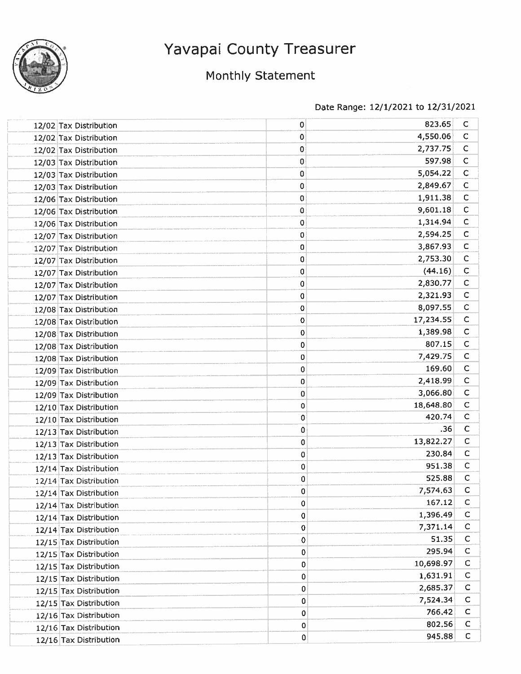

# Monthly Statement

|  | 12/02 Tax Distribution | 0           | 823.65    | С            |
|--|------------------------|-------------|-----------|--------------|
|  | 12/02 Tax Distribution | 0           | 4,550.06  | $\mathsf{C}$ |
|  | 12/02 Tax Distribution | 0           | 2,737.75  | C            |
|  | 12/03 Tax Distribution | 0           | 597.98    | $\mathsf{C}$ |
|  | 12/03 Tax Distribution | 0           | 5,054.22  | $\mathsf{C}$ |
|  | 12/03 Tax Distribution | 0           | 2,849.67  | $\mathsf{C}$ |
|  | 12/06 Tax Distribution | 0           | 1,911.38  | $\mathsf{C}$ |
|  | 12/06 Tax Distribution | 0           | 9,601.18  | $\mathsf{C}$ |
|  | 12/06 Tax Distribution | 0           | 1,314.94  | $\mathsf{C}$ |
|  | 12/07 Tax Distribution | 0           | 2,594.25  | $\mathsf{C}$ |
|  | 12/07 Tax Distribution | 0           | 3,867.93  | C            |
|  | 12/07 Tax Distribution | 0           | 2,753.30  | $\mathsf{C}$ |
|  | 12/07 Tax Distribution | 0           | (44.16)   | $\mathsf{C}$ |
|  | 12/07 Tax Distribution | 0           | 2,830.77  | $\mathsf C$  |
|  | 12/07 Tax Distribution | 0           | 2,321.93  | $\mathsf{C}$ |
|  | 12/08 Tax Distribution | 0           | 8,097.55  | $\mathsf{C}$ |
|  | 12/08 Tax Distribution | 0           | 17,234.55 | $\mathsf{C}$ |
|  | 12/08 Tax Distribution | 0           | 1,389.98  | $\mathsf{C}$ |
|  | 12/08 Tax Distribution | 0           | 807.15    | $\mathsf{C}$ |
|  | 12/08 Tax Distribution | 0           | 7,429.75  | $\mathsf{C}$ |
|  | 12/09 Tax Distribution | 0           | 169.60    | c            |
|  | 12/09 Tax Distribution | 0           | 2,418.99  | $\mathsf{C}$ |
|  | 12/09 Tax Distribution | 0           | 3,066.80  | $\mathsf{C}$ |
|  | 12/10 Tax Distribution | 0           | 18,648.80 | $\mathsf C$  |
|  | 12/10 Tax Distribution | 0           | 420.74    | $\mathsf{C}$ |
|  | 12/13 Tax Distribution | 0           | .36       | C            |
|  | 12/13 Tax Distribution | 0           | 13,822.27 | $\mathsf C$  |
|  | 12/13 Tax Distribution | 0           | 230.84    | C            |
|  | 12/14 Tax Distribution | 0           | 951.38    | $\mathsf{C}$ |
|  | 12/14 Tax Distribution | 0           | 525.88    | $\mathsf{C}$ |
|  | 12/14 Tax Distribution | 0           | 7,574.63  | $\mathsf{C}$ |
|  | 12/14 Tax Distribution | 0           | 167.12    | C            |
|  | 12/14 Tax Distribution | $\pmb{0}$   | 1,396.49  | C            |
|  | 12/14 Tax Distribution | $\mathbf 0$ | 7,371.14  | C            |
|  | 12/15 Tax Distribution | 0           | 51.35     | $\mathsf{C}$ |
|  | 12/15 Tax Distribution | 0           | 295.94    | $\mathsf{C}$ |
|  | 12/15 Tax Distribution | 0           | 10,698.97 | $\mathsf{C}$ |
|  | 12/15 Tax Distribution | 0           | 1,631.91  | $\mathsf{C}$ |
|  | 12/15 Tax Distribution | $\mathbf 0$ | 2,685.37  | ¢            |
|  | 12/15 Tax Distribution | $\mathbf 0$ | 7,524.34  | C            |
|  | 12/16 Tax Distribution | $\mathbf 0$ | 766.42    | $\mathsf{C}$ |
|  | 12/16 Tax Distribution | $\mathbf 0$ | 802.56    | C            |
|  | 12/16 Tax Distribution | 0           | 945.88    | $\mathsf C$  |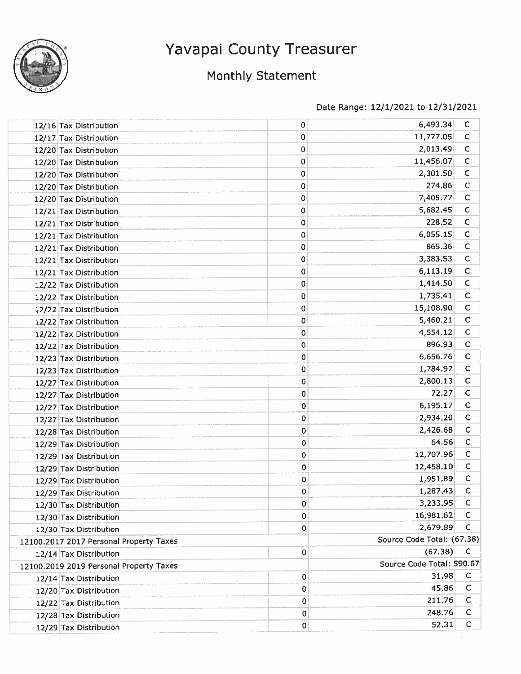

# Monthly Statement

| 12/16 Tax Distribution                  | 0         | 6,493.34                   | C            |
|-----------------------------------------|-----------|----------------------------|--------------|
| 12/17 Tax Distribution                  | 0         | 11,777.05                  | $\mathsf C$  |
| 12/20 Tax Distribution                  | 0         | 2,013.49                   | С            |
| 12/20 Tax Distribution                  | 0         | 11,456.07                  | С            |
| 12/20 Tax Distribution                  | 0         | 2,301.50                   | C            |
| 12/20 Tax Distribution                  | 0         | 274.86                     | $\mathsf C$  |
| 12/20 Tax Distribution                  | 0         | 7,405.77                   | $\mathsf{C}$ |
| 12/21 Tax Distribution                  | 0         | 5,682.45                   | С            |
| 12/21 Tax Distribution                  | 0         | 228.52                     | С            |
| 12/21 Tax Distribution                  | 0         | 6,055.15                   | C            |
| 12/21 Tax Distribution                  | 0         | 865.36                     | C            |
| 12/21 Tax Distribution                  | 0         | 3,383.53                   | $\mathsf{C}$ |
| 12/21 Tax Distribution                  | 0         | 6,113.19                   | $\mathsf C$  |
| 12/22 Tax Distribution                  | 0         | 1,414.50                   | C            |
| 12/22 Tax Distribution                  | 0         | 1,735.41                   | $\mathsf C$  |
| 12/22 Tax Distribution                  | 0         | 15,108.90                  | C            |
| 12/22 Tax Distribution                  | 0         | 5,460.21                   | C            |
| 12/22 Tax Distribution                  | 0         | 4,554.12                   | $\mathsf C$  |
| 12/22 Tax Distribution                  | 0         | 896.93                     | $\mathsf C$  |
| 12/23 Tax Distribution                  | $\pmb{0}$ | 6,656.76                   | $\mathsf C$  |
| 12/23 Tax Distribution                  | $\bf{0}$  | 1,784.97                   | $\mathsf C$  |
| 12/27 Tax Distribution                  | 0         | 2,800.13                   | C            |
| 12/27 Tax Distribution                  | 0         | 72.27                      | $\mathsf{C}$ |
| 12/27 Tax Distribution                  | 0         | 6,195.17                   | $\mathsf C$  |
| 12/27 Tax Distribution                  | 0         | 2,934.20                   | $\mathsf{C}$ |
| 12/28 Tax Distribution                  | 0         | 2,426.68                   | С            |
| 12/29 Tax Distribution                  | 0         | 64.56                      | $\mathsf{C}$ |
| 12/29 Tax Distribution                  | 0         | 12,707.96                  | $\mathsf C$  |
| 12/29 Tax Distribution                  | 0         | 12,458.10                  | C            |
| 12/29 Tax Distribution                  | 0         | 1,951.89                   | $\mathsf{C}$ |
| 12/29 Tax Distribution                  | 0         | 1,287.43                   | C            |
| 12/30 Tax Distribution                  | 0         | 3,233.95                   | C            |
| 12/30 Tax Distribution                  | 0         | 16,981.62                  | C            |
| 12/30 Tax Distribution                  | 0         | 2,679.89                   | $\mathbf C$  |
| 12100.2017 2017 Personal Property Taxes |           | Source Code Total: (67.38) |              |
| 12/14 Tax Distribution                  | 0         | (67.38)                    | с            |
| 12100.2019 2019 Personal Property Taxes |           | Source Code Total: 590.67  |              |
| 12/14 Tax Distribution                  | 0         | 31.98                      | $\mathsf C$  |
| 12/20 Tax Distribution                  | 0         | 45.86                      | C            |
| 12/22 Tax Distribution                  | 0         | 211.76                     | C            |
| 12/28 Tax Distribution                  | 0         | 248.76                     | C            |
| 12/29 Tax Distribution                  | 0         | 52.31                      | C            |
|                                         |           |                            |              |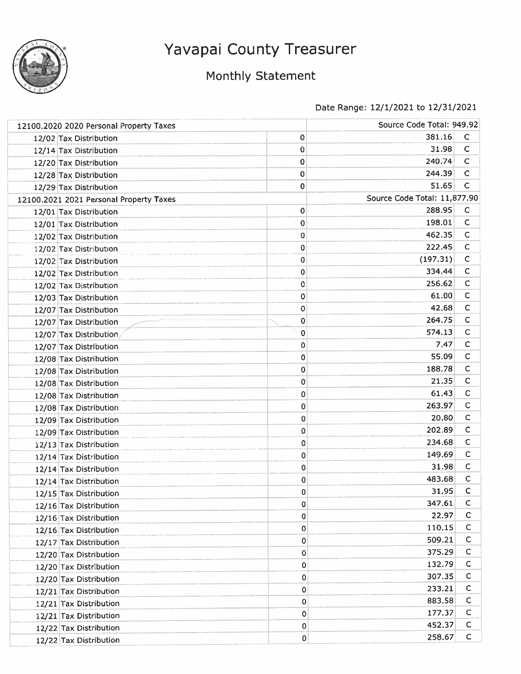

# Monthly Statement

| 12100.2020 2020 Personal Property Taxes |                                         |           | Source Code Total: 949.92    |              |  |
|-----------------------------------------|-----------------------------------------|-----------|------------------------------|--------------|--|
|                                         | 12/02 Tax Distribution                  | 0         | 381.16                       | C            |  |
|                                         | 12/14 Tax Distribution                  | 0         | 31.98                        | $\mathsf C$  |  |
|                                         | 12/20 Tax Distribution                  | 0         | 240.74                       | C            |  |
|                                         | 12/28 Tax Distribution                  | 0         | 244.39                       | $\mathsf C$  |  |
|                                         | 12/29 Tax Distribution                  | 0         | 51.65                        | C            |  |
|                                         | 12100.2021 2021 Personal Property Taxes |           | Source Code Total: 11,877.90 |              |  |
|                                         | 12/01 Tax Distribution                  | 0         | 288.95                       | C            |  |
|                                         | 12/01 Tax Distribution                  | 0         | 198.01                       | $\mathsf{C}$ |  |
|                                         | 12/02 Tax Distribution                  | 0         | 462.35                       | $\mathsf{C}$ |  |
|                                         | 12/02 Tax Distribution                  | 0         | 222.45                       | C            |  |
|                                         | 12/02 Tax Distribution                  | 0         | (197.31)                     | $\mathsf{C}$ |  |
|                                         | 12/02 Tax Distribution                  | 0         | 334.44                       | $\mathsf{C}$ |  |
|                                         | 12/02 Tax Distribution                  | 0         | 256.62                       | C            |  |
|                                         | 12/03 Tax Distribution                  | 0         | 61.00                        | с            |  |
|                                         | 12/07 Tax Distribution                  | 0         | 42.68                        | C            |  |
|                                         | 12/07 Tax Distribution                  | 0         | 264.75                       | с            |  |
|                                         | 12/07 Tax Distribution                  | $\pmb{0}$ | 574.13                       | $\mathsf{C}$ |  |
|                                         | 12/07 Tax Distribution                  | 0         | 7,47                         | C            |  |
|                                         | 12/08 Tax Distribution                  | 0         | 55.09                        | C            |  |
|                                         | 12/08 Tax Distribution                  | 0         | 188.78                       | С            |  |
|                                         | 12/08 Tax Distribution                  | 0         | 21.35                        | C            |  |
|                                         | 12/08 Tax Distribution                  | 0         | 61.43                        | $\mathsf{C}$ |  |
|                                         | 12/08 Tax Distribution                  | 0         | 263.97                       | C            |  |
|                                         | 12/09 Tax Distribution                  | 0         | 20,80                        | C            |  |
|                                         | 12/09 Tax Distribution                  | 0         | 202.89                       | с            |  |
|                                         | 12/13 Tax Distribution                  | 0         | 234.68                       | c            |  |
|                                         | 12/14 Tax Distribution                  | 0         | 149.69                       | $\mathsf{C}$ |  |
|                                         | 12/14 Tax Distribution                  | 0         | 31.98                        | с            |  |
|                                         | 12/14 Tax Distribution                  | 0         | 483.68                       | С            |  |
|                                         | 12/15 Tax Distribution                  | 0         | 31.95                        | с            |  |
|                                         | 12/16 Tax Distribution                  | 0         | 347,61                       | C            |  |
|                                         | 12/16 Tax Distribution                  | 0         | 22.97                        | $\mathsf{C}$ |  |
|                                         | 12/16 Tax Distribution                  | 0         | 110.15                       | с            |  |
|                                         | 12/17 Tax Distribution                  | 0         | 509.21                       | С            |  |
|                                         | 12/20 Tax Distribution                  | 0         | 375.29                       | C            |  |
|                                         | 12/20 Tax Distribution                  | 0         | 132.79                       | C            |  |
|                                         | 12/20 Tax Distribution                  | 0         | 307.35                       | $\mathsf{C}$ |  |
|                                         | 12/21 Tax Distribution                  | 0         | 233.21                       | c            |  |
|                                         | 12/21 Tax Distribution                  | 0         | 883.58                       | C            |  |
|                                         | 12/21 Tax Distribution                  | 0         | 177.37                       | C            |  |
|                                         | 12/22 Tax Distribution                  | 0         | 452.37                       | C            |  |
|                                         | 12/22 Tax Distribution                  | 0         | 258.67                       | $\mathsf C$  |  |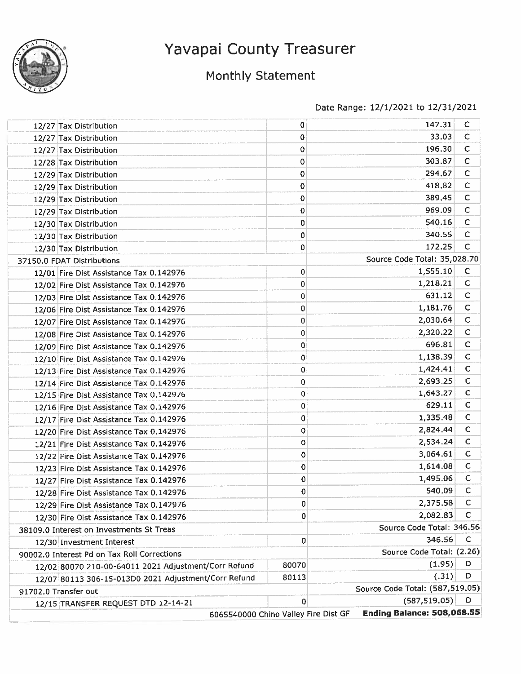

# Monthly Statement

| 12/27 Tax Distribution<br>12/27 Tax Distribution<br>12/27 Tax Distribution<br>12/28 Tax Distribution | 0<br>0<br>0<br>0<br>0 | 147.31<br>33.03<br>196.30<br>303.87 | C<br>C<br>$\mathsf{C}$ |
|------------------------------------------------------------------------------------------------------|-----------------------|-------------------------------------|------------------------|
|                                                                                                      |                       |                                     |                        |
|                                                                                                      |                       |                                     |                        |
|                                                                                                      |                       |                                     |                        |
|                                                                                                      |                       |                                     | $\mathsf{C}$           |
| 12/29 Tax Distribution                                                                               |                       | 294.67                              | C                      |
| 12/29 Tax Distribution                                                                               | 0                     | 418.82                              | с                      |
| 12/29 Tax Distribution                                                                               | 0                     | 389,45                              | C                      |
| 12/29 Tax Distribution                                                                               | 0                     | 969.09                              | $\mathsf{C}$           |
| 12/30 Tax Distribution                                                                               | 0                     | 540.16                              | C                      |
| 12/30 Tax Distribution                                                                               | 0                     | 340.55                              | C                      |
| 12/30 Tax Distribution                                                                               | 0                     | 172.25                              | C                      |
| 37150.0 FDAT Distributions                                                                           |                       | Source Code Total: 35,028.70        |                        |
| 12/01 Fire Dist Assistance Tax 0.142976                                                              | 0                     | 1,555.10                            | C                      |
| 12/02 Fire Dist Assistance Tax 0.142976                                                              | 0                     | 1,218.21                            | C                      |
| 12/03 Fire Dist Assistance Tax 0.142976                                                              | 0                     | 631.12                              | $\mathsf C$            |
| 12/06 Fire Dist Assistance Tax 0.142976                                                              | 0                     | 1,181.76                            | $\mathsf C$            |
| 12/07 Fire Dist Assistance Tax 0.142976                                                              | 0                     | 2,030.64                            | C                      |
| 12/08 Fire Dist Assistance Tax 0.142976                                                              | 0                     | 2,320.22                            | $\mathsf C$            |
| 12/09 Fire Dist Assistance Tax 0.142976                                                              | 0                     | 696.81                              | $\mathsf C$            |
| 12/10 Fire Dist Assistance Tax 0.142976                                                              | 0                     | 1,138.39                            | $\mathsf C$            |
| 12/13 Fire Dist Assistance Tax 0.142976                                                              | 0                     | 1,424.41                            | $\mathsf C$            |
| 12/14 Fire Dist Assistance Tax 0.142976                                                              | 0                     | 2,693.25                            | C                      |
| 12/15 Fire Dist Assistance Tax 0.142976                                                              | $\bf{0}$              | 1,643.27                            | $\mathsf C$            |
| 12/16 Fire Dist Assistance Tax 0.142976                                                              | 0                     | 629.11                              | $\mathsf C$            |
| 12/17 Fire Dist Assistance Tax 0.142976                                                              | 0                     | 1,335.48                            | $\mathsf C$            |
| 12/20 Fire Dist Assistance Tax 0.142976                                                              | 0                     | 2,824.44                            | C                      |
| 12/21 Fire Dist Assistance Tax 0.142976                                                              | 0                     | 2,534.24                            | $\mathsf C$            |
| 12/22 Fire Dist Assistance Tax 0.142976                                                              | 0                     | 3,064.61                            | $\mathsf{C}$           |
| 12/23 Fire Dist Assistance Tax 0.142976                                                              | 0                     | 1,614.08                            | $\mathsf{C}$           |
| 12/27 Fire Dist Assistance Tax 0.142976                                                              | 0                     | 1,495.06                            | C                      |
| 12/28 Fire Dist Assistance Tax 0.142976                                                              | $\mathbf 0$           | 540.09                              | $\mathsf{C}$           |
| 12/29 Fire Dist Assistance Tax 0.142976                                                              | 0                     | 2,375.58                            | C                      |
| 12/30 Fire Dist Assistance Tax 0.142976                                                              | 0                     | 2,082.83                            | C                      |
| 38109.0 Interest on Investments St Treas                                                             |                       | Source Code Total: 346.56           |                        |
| 12/30 Investment Interest                                                                            | 0                     | 346.56                              | C                      |
| 90002.0 Interest Pd on Tax Roll Corrections                                                          |                       | Source Code Total: (2.26)           |                        |
| 12/02 80070 210-00-64011 2021 Adjustment/Corr Refund                                                 | 80070                 | (1.95)                              | D                      |
| 12/07 80113 306-15-013D0 2021 Adjustment/Corr Refund                                                 | 80113                 | (.31)                               | D                      |
| 91702.0 Transfer out                                                                                 |                       | Source Code Total: (587,519.05)     |                        |
|                                                                                                      | 0                     | (587, 519.05)                       | D                      |
| 12/15 TRANSFER REQUEST DTD 12-14-21<br>6065540000 Chino Valley Fire Dist GF                          |                       | <b>Ending Balance: 508,068.55</b>   |                        |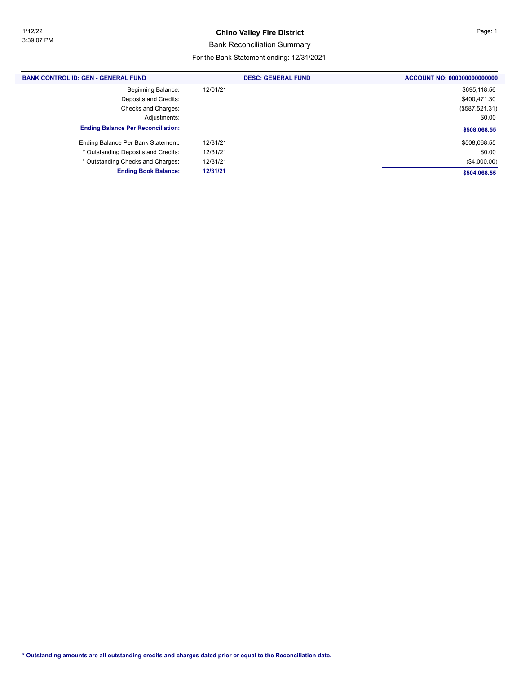#### **Chino Valley Fire District Page: 1**

#### Bank Reconciliation Summary

| <b>BANK CONTROL ID: GEN - GENERAL FUND</b> | <b>DESC: GENERAL FUND</b> | ACCOUNT NO: 000000000000000 |
|--------------------------------------------|---------------------------|-----------------------------|
| <b>Beginning Balance:</b>                  | 12/01/21                  | \$695,118.56                |
| Deposits and Credits:                      |                           | \$400,471.30                |
| Checks and Charges:                        |                           | (\$587,521.31)              |
| Adjustments:                               |                           | \$0.00                      |
| <b>Ending Balance Per Reconciliation:</b>  |                           | \$508,068.55                |
| Ending Balance Per Bank Statement:         | 12/31/21                  | \$508,068.55                |
| * Outstanding Deposits and Credits:        | 12/31/21                  | \$0.00                      |
| * Outstanding Checks and Charges:          | 12/31/21                  | (\$4,000.00)                |
| <b>Ending Book Balance:</b>                | 12/31/21                  | \$504,068.55                |
|                                            |                           |                             |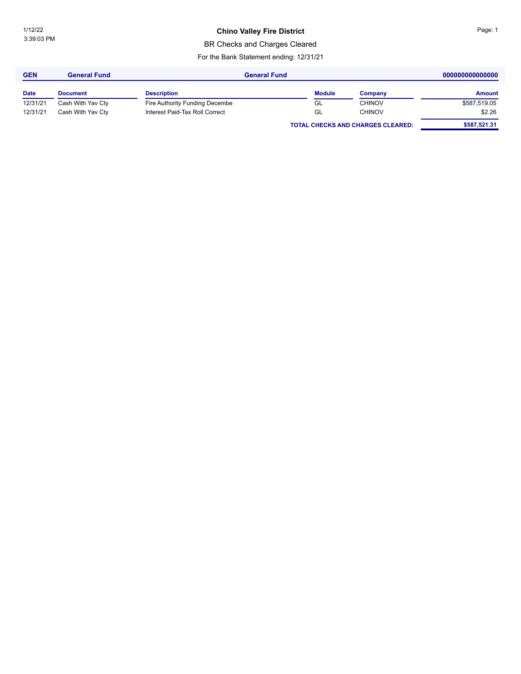## **Chino Valley Fire District Chinage: 1** Page: 1

BR Checks and Charges Cleared

| <b>GEN</b>  | <b>General Fund</b> | <b>General Fund</b>            |               |                                          | 000000000000000 |  |
|-------------|---------------------|--------------------------------|---------------|------------------------------------------|-----------------|--|
| <b>Date</b> | <b>Document</b>     | <b>Description</b>             | <b>Module</b> | Company                                  | <b>Amount</b>   |  |
| 12/31/21    | Cash With Yav Cty   | Fire Authority Funding Decembe | GL            | <b>CHINOV</b>                            | \$587,519.05    |  |
| 12/31/21    | Cash With Yav Cty   | Interest Paid-Tax Roll Correct | GL            | <b>CHINOV</b>                            | \$2.26          |  |
|             |                     |                                |               | <b>TOTAL CHECKS AND CHARGES CLEARED:</b> | \$587,521.31    |  |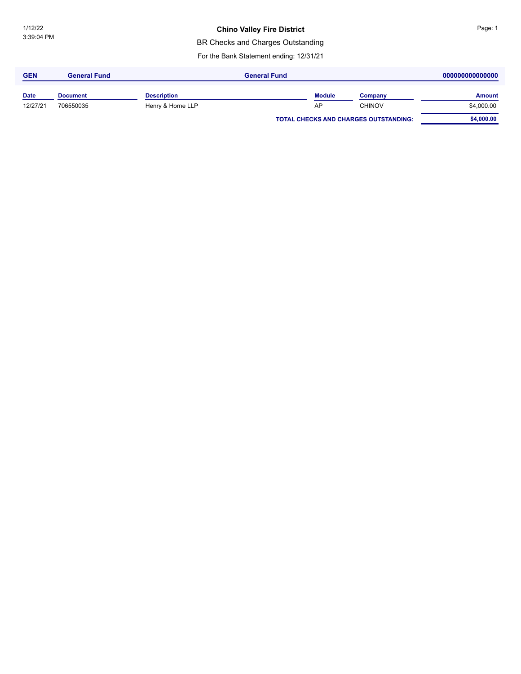#### **Chino Valley Fire District**

BR Checks and Charges Outstanding

| <b>GEN</b>  | <b>General Fund</b> | <b>General Fund</b> |  |               |                                              | 000000000000000 |  |
|-------------|---------------------|---------------------|--|---------------|----------------------------------------------|-----------------|--|
| <b>Date</b> | <b>Document</b>     | <b>Description</b>  |  | <b>Module</b> | Company                                      | <b>Amount</b>   |  |
| 12/27/21    | 706550035           | Henry & Horne LLP   |  | AP            | <b>CHINOV</b>                                | \$4,000.00      |  |
|             |                     |                     |  |               | <b>TOTAL CHECKS AND CHARGES OUTSTANDING:</b> | \$4,000.00      |  |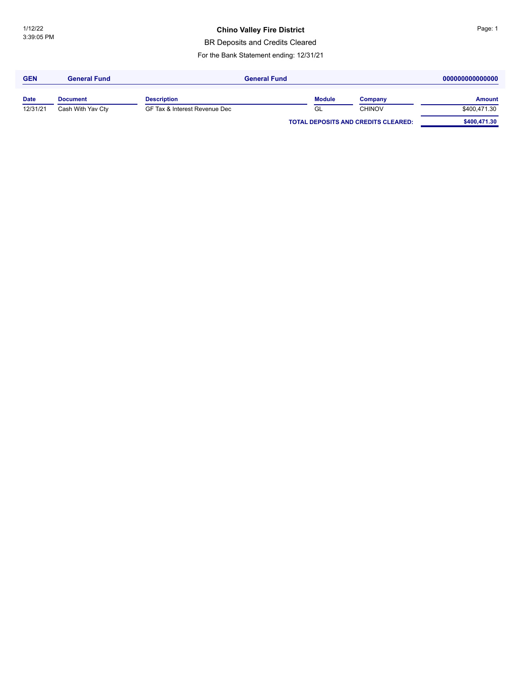### **Chino Valley Fire District Chinage: 1** Page: 1

BR Deposits and Credits Cleared

| <b>GEN</b>  | <b>General Fund</b> | <b>General Fund</b>           |               |                                            | 000000000000000 |  |  |
|-------------|---------------------|-------------------------------|---------------|--------------------------------------------|-----------------|--|--|
| <b>Date</b> | <b>Document</b>     | <b>Description</b>            | <b>Module</b> | Company                                    | <b>Amount</b>   |  |  |
| 12/31/21    | Cash With Yav Cty   | GF Tax & Interest Revenue Dec | GL            | <b>CHINOV</b>                              | \$400,471.30    |  |  |
|             |                     |                               |               | <b>TOTAL DEPOSITS AND CREDITS CLEARED:</b> | \$400,471.30    |  |  |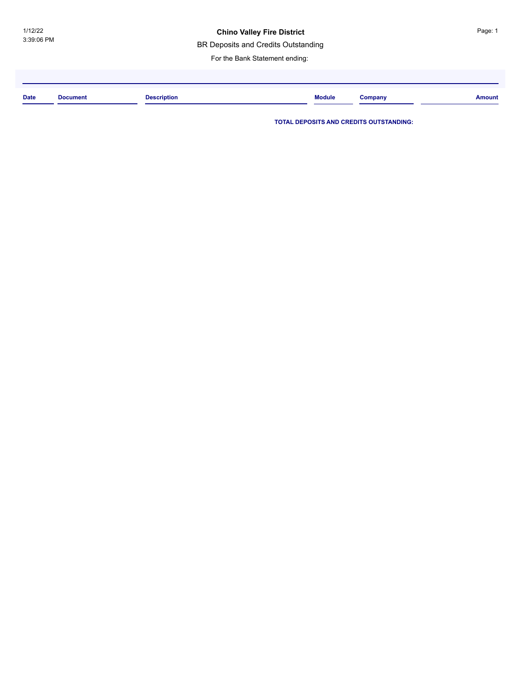#### **Chino Valley Fire District**

BR Deposits and Credits Outstanding

For the Bank Statement ending:

| <b>Date</b> | <b>Document</b><br>. | <b>Description</b> | <b>Module</b> | Company | Amount |
|-------------|----------------------|--------------------|---------------|---------|--------|
|             |                      |                    |               |         |        |

**TOTAL DEPOSITS AND CREDITS OUTSTANDING:**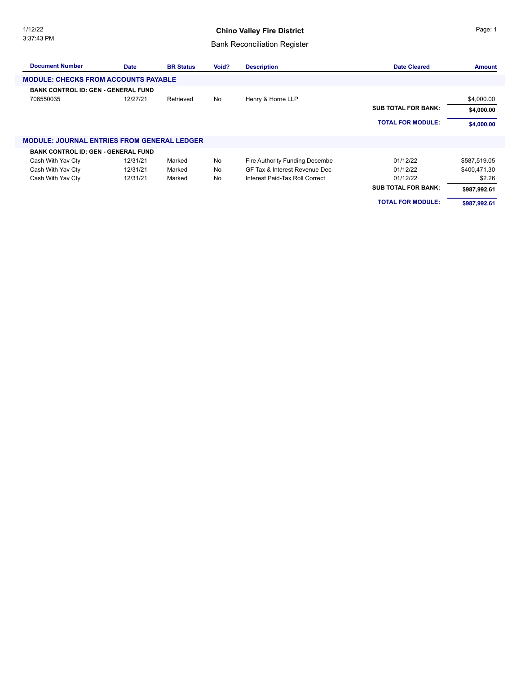### **Chino Valley Fire District**

## Bank Reconciliation Register

| <b>Document Number</b>                             | <b>Date</b> | <b>BR Status</b> | Void? | <b>Description</b>             | <b>Date Cleared</b>        | <b>Amount</b> |
|----------------------------------------------------|-------------|------------------|-------|--------------------------------|----------------------------|---------------|
| <b>MODULE: CHECKS FROM ACCOUNTS PAYABLE</b>        |             |                  |       |                                |                            |               |
| <b>BANK CONTROL ID: GEN - GENERAL FUND</b>         |             |                  |       |                                |                            |               |
| 706550035                                          | 12/27/21    | Retrieved        | No    | Henry & Horne LLP              |                            | \$4,000.00    |
|                                                    |             |                  |       |                                | <b>SUB TOTAL FOR BANK:</b> | \$4,000.00    |
|                                                    |             |                  |       |                                | <b>TOTAL FOR MODULE:</b>   | \$4,000.00    |
| <b>MODULE: JOURNAL ENTRIES FROM GENERAL LEDGER</b> |             |                  |       |                                |                            |               |
| <b>BANK CONTROL ID: GEN - GENERAL FUND</b>         |             |                  |       |                                |                            |               |
| Cash With Yav Cty                                  | 12/31/21    | Marked           | No    | Fire Authority Funding Decembe | 01/12/22                   | \$587,519.05  |
| Cash With Yav Cty                                  | 12/31/21    | Marked           | No    | GF Tax & Interest Revenue Dec  | 01/12/22                   | \$400,471.30  |
| Cash With Yav Cty                                  | 12/31/21    | Marked           | No    | Interest Paid-Tax Roll Correct | 01/12/22                   | \$2.26        |
|                                                    |             |                  |       |                                | <b>SUB TOTAL FOR BANK:</b> | \$987,992.61  |
|                                                    |             |                  |       |                                | <b>TOTAL FOR MODULE:</b>   | \$987,992.61  |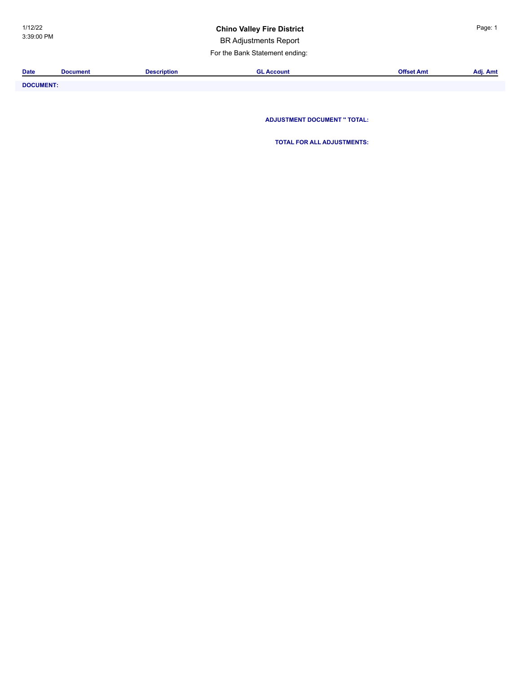### **Chino Valley Fire District China Page: 1**

BR Adjustments Report

For the Bank Statement ending:

| <b>Date</b>           | Document | Description | L Account | - -<br>Offset Amt | $\sim$<br>Adj. Amt |
|-----------------------|----------|-------------|-----------|-------------------|--------------------|
|                       |          |             |           |                   |                    |
| _ _ _ _ _ _ _ _ _ _ _ |          |             |           |                   |                    |

**DOCUMENT: ADJUSTMENT DOCUMENT '' TOTAL:**

**TOTAL FOR ALL ADJUSTMENTS:**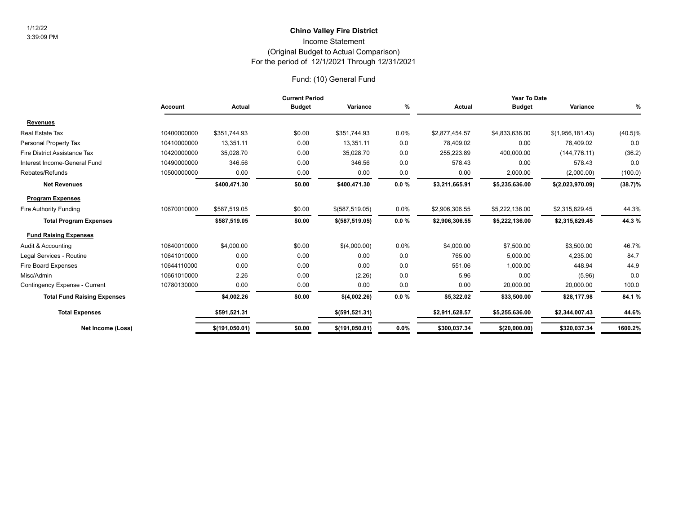### For the period of 12/1/2021 Through 12/31/2021 (Original Budget to Actual Comparison) Income Statement **Chino Valley Fire District** 1/12/22

### Fund: (10) General Fund

|                                    | <b>Current Period</b> |                |               |                  | Year To Date |                |                |                  |            |
|------------------------------------|-----------------------|----------------|---------------|------------------|--------------|----------------|----------------|------------------|------------|
|                                    | <b>Account</b>        | Actual         | <b>Budget</b> | Variance         | %            | Actual         | <b>Budget</b>  | Variance         | %          |
| <b>Revenues</b>                    |                       |                |               |                  |              |                |                |                  |            |
| Real Estate Tax                    | 10400000000           | \$351.744.93   | \$0.00        | \$351,744.93     | 0.0%         | \$2,877,454.57 | \$4,833,636.00 | \$(1,956,181.43) | $(40.5)\%$ |
| Personal Property Tax              | 10410000000           | 13,351.11      | 0.00          | 13,351.11        | 0.0          | 78,409.02      | 0.00           | 78,409.02        | 0.0        |
| Fire District Assistance Tax       | 10420000000           | 35,028.70      | 0.00          | 35,028.70        | 0.0          | 255,223.89     | 400,000.00     | (144, 776.11)    | (36.2)     |
| Interest Income-General Fund       | 10490000000           | 346.56         | 0.00          | 346.56           | 0.0          | 578.43         | 0.00           | 578.43           | 0.0        |
| Rebates/Refunds                    | 10500000000           | 0.00           | 0.00          | 0.00             | 0.0          | 0.00           | 2,000.00       | (2,000.00)       | (100.0)    |
| <b>Net Revenues</b>                |                       | \$400,471.30   | \$0.00        | \$400,471.30     | $0.0 \%$     | \$3,211,665.91 | \$5,235,636.00 | \$(2,023,970.09) | $(38.7)\%$ |
| <b>Program Expenses</b>            |                       |                |               |                  |              |                |                |                  |            |
| Fire Authority Funding             | 10670010000           | \$587,519.05   | \$0.00        | $$$ (587,519.05) | 0.0%         | \$2,906,306.55 | \$5,222,136.00 | \$2,315,829.45   | 44.3%      |
| <b>Total Program Expenses</b>      |                       | \$587,519.05   | \$0.00        | \$ (587, 519.05) | 0.0%         | \$2,906,306.55 | \$5,222,136.00 | \$2,315,829.45   | 44.3%      |
| <b>Fund Raising Expenses</b>       |                       |                |               |                  |              |                |                |                  |            |
| Audit & Accounting                 | 10640010000           | \$4,000.00     | \$0.00        | \$(4,000.00)     | 0.0%         | \$4,000.00     | \$7,500.00     | \$3,500.00       | 46.7%      |
| Legal Services - Routine           | 10641010000           | 0.00           | 0.00          | 0.00             | 0.0          | 765.00         | 5,000.00       | 4,235.00         | 84.7       |
| <b>Fire Board Expenses</b>         | 10644110000           | 0.00           | 0.00          | 0.00             | 0.0          | 551.06         | 1,000.00       | 448.94           | 44.9       |
| Misc/Admin                         | 10661010000           | 2.26           | 0.00          | (2.26)           | 0.0          | 5.96           | 0.00           | (5.96)           | 0.0        |
| Contingency Expense - Current      | 10780130000           | 0.00           | 0.00          | 0.00             | 0.0          | 0.00           | 20,000.00      | 20,000.00        | 100.0      |
| <b>Total Fund Raising Expenses</b> |                       | \$4,002.26     | \$0.00        | \$(4,002.26)     | $0.0 \%$     | \$5,322.02     | \$33,500.00    | \$28,177.98      | 84.1%      |
| <b>Total Expenses</b>              |                       | \$591,521.31   |               | \$ (591, 521.31) |              | \$2,911,628.57 | \$5,255,636.00 | \$2,344,007.43   | 44.6%      |
| Net Income (Loss)                  |                       | \$(191,050.01) | \$0.00        | \$(191,050.01)   | 0.0%         | \$300,037.34   | \$(20,000.00)  | \$320,037.34     | 1600.2%    |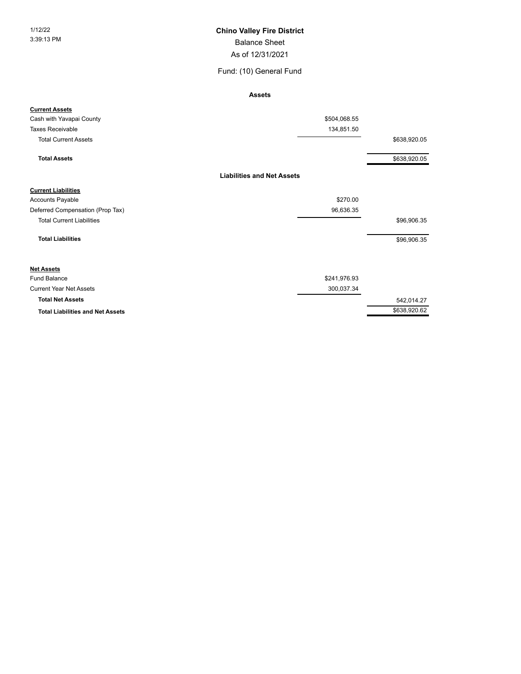#### 1/12/22 **Chino Valley Fire District**

Balance Sheet

As of 12/31/2021

#### Fund: (10) General Fund

**Assets**

| <b>Current Assets</b>                   |                                   |              |
|-----------------------------------------|-----------------------------------|--------------|
| Cash with Yavapai County                | \$504,068.55                      |              |
| <b>Taxes Receivable</b>                 | 134,851.50                        |              |
| <b>Total Current Assets</b>             |                                   | \$638,920.05 |
| <b>Total Assets</b>                     |                                   | \$638,920.05 |
|                                         | <b>Liabilities and Net Assets</b> |              |
| <b>Current Liabilities</b>              |                                   |              |
| Accounts Payable                        | \$270.00                          |              |
| Deferred Compensation (Prop Tax)        | 96,636.35                         |              |
| <b>Total Current Liabilities</b>        |                                   | \$96,906.35  |
| <b>Total Liabilities</b>                |                                   | \$96,906.35  |
| <b>Net Assets</b>                       |                                   |              |
| <b>Fund Balance</b>                     | \$241,976.93                      |              |
| <b>Current Year Net Assets</b>          | 300,037.34                        |              |
| <b>Total Net Assets</b>                 |                                   | 542,014.27   |
| <b>Total Liabilities and Net Assets</b> |                                   | \$638,920.62 |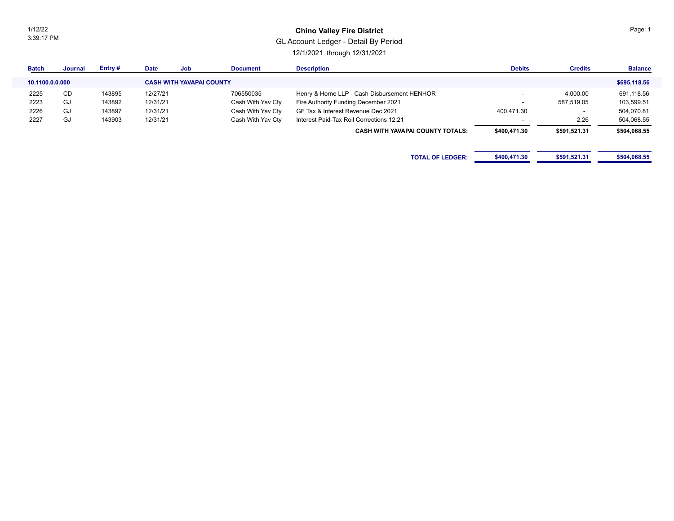1/12/22 3:39:17 PM

#### **Chino Valley Fire District**

### GL Account Ledger - Detail By Period

12/1/2021 through 12/31/2021

| <b>Batch</b>    | Journal   | Entry# | <b>Date</b> | Job                             | <b>Document</b>   | <b>Description</b>                           | <b>Debits</b>            | <b>Credits</b> | <b>Balance</b> |
|-----------------|-----------|--------|-------------|---------------------------------|-------------------|----------------------------------------------|--------------------------|----------------|----------------|
| 10.1100.0.0.000 |           |        |             | <b>CASH WITH YAVAPAI COUNTY</b> |                   |                                              |                          |                | \$695,118.56   |
| 2225            | <b>CD</b> | 143895 | 12/27/21    |                                 | 706550035         | Henry & Horne LLP - Cash Disbursement HENHOR | $\overline{\phantom{a}}$ | 4,000.00       | 691,118.56     |
| 2223            | GJ        | 143892 | 12/31/21    |                                 | Cash With Yav Cty | Fire Authority Funding December 2021         |                          | 587,519.05     | 103,599.51     |
| 2226            | GJ        | 143897 | 12/31/21    |                                 | Cash With Yav Cty | GF Tax & Interest Revenue Dec 2021           | 400,471.30               |                | 504,070.81     |
| 2227            | GJ        | 143903 | 12/31/21    |                                 | Cash With Yav Cty | Interest Paid-Tax Roll Corrections 12.21     |                          | 2.26           | 504,068.55     |
|                 |           |        |             |                                 |                   | <b>CASH WITH YAVAPAI COUNTY TOTALS:</b>      | \$400,471.30             | \$591,521.31   | \$504,068.55   |
|                 |           |        |             |                                 |                   |                                              |                          |                |                |
|                 |           |        |             |                                 |                   | <b>TOTAL OF LEDGER:</b>                      | \$400,471.30             | \$591,521.31   | \$504,068.55   |

Page: 1